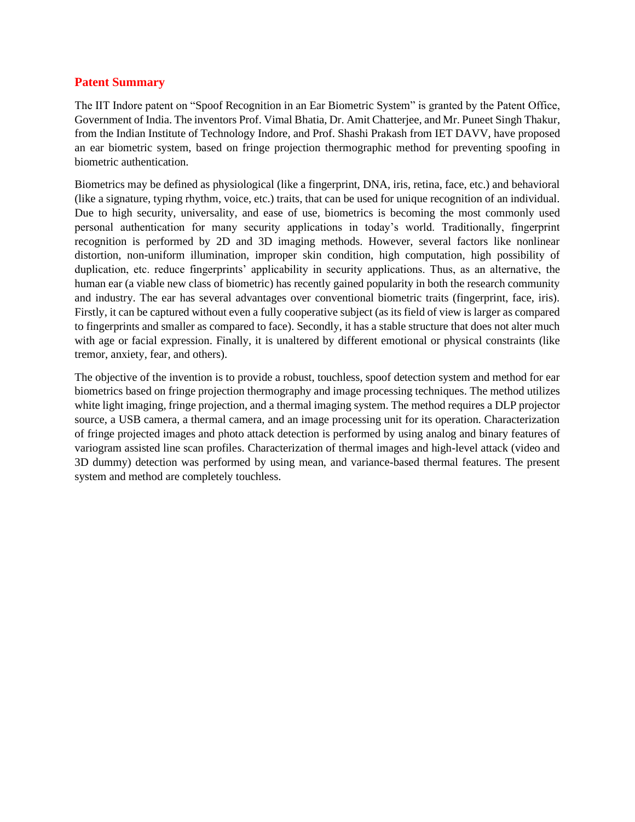## **Patent Summary**

The IIT Indore patent on "Spoof Recognition in an Ear Biometric System" is granted by the Patent Office, Government of India. The inventors Prof. Vimal Bhatia, Dr. Amit Chatterjee, and Mr. Puneet Singh Thakur, from the Indian Institute of Technology Indore, and Prof. Shashi Prakash from IET DAVV, have proposed an ear biometric system, based on fringe projection thermographic method for preventing spoofing in biometric authentication.

Biometrics may be defined as physiological (like a fingerprint, DNA, iris, retina, face, etc.) and behavioral (like a signature, typing rhythm, voice, etc.) traits, that can be used for unique recognition of an individual. Due to high security, universality, and ease of use, biometrics is becoming the most commonly used personal authentication for many security applications in today's world. Traditionally, fingerprint recognition is performed by 2D and 3D imaging methods. However, several factors like nonlinear distortion, non-uniform illumination, improper skin condition, high computation, high possibility of duplication, etc. reduce fingerprints' applicability in security applications. Thus, as an alternative, the human ear (a viable new class of biometric) has recently gained popularity in both the research community and industry. The ear has several advantages over conventional biometric traits (fingerprint, face, iris). Firstly, it can be captured without even a fully cooperative subject (as its field of view is larger as compared to fingerprints and smaller as compared to face). Secondly, it has a stable structure that does not alter much with age or facial expression. Finally, it is unaltered by different emotional or physical constraints (like tremor, anxiety, fear, and others).

The objective of the invention is to provide a robust, touchless, spoof detection system and method for ear biometrics based on fringe projection thermography and image processing techniques. The method utilizes white light imaging, fringe projection, and a thermal imaging system. The method requires a DLP projector source, a USB camera, a thermal camera, and an image processing unit for its operation. Characterization of fringe projected images and photo attack detection is performed by using analog and binary features of variogram assisted line scan profiles. Characterization of thermal images and high-level attack (video and 3D dummy) detection was performed by using mean, and variance-based thermal features. The present system and method are completely touchless.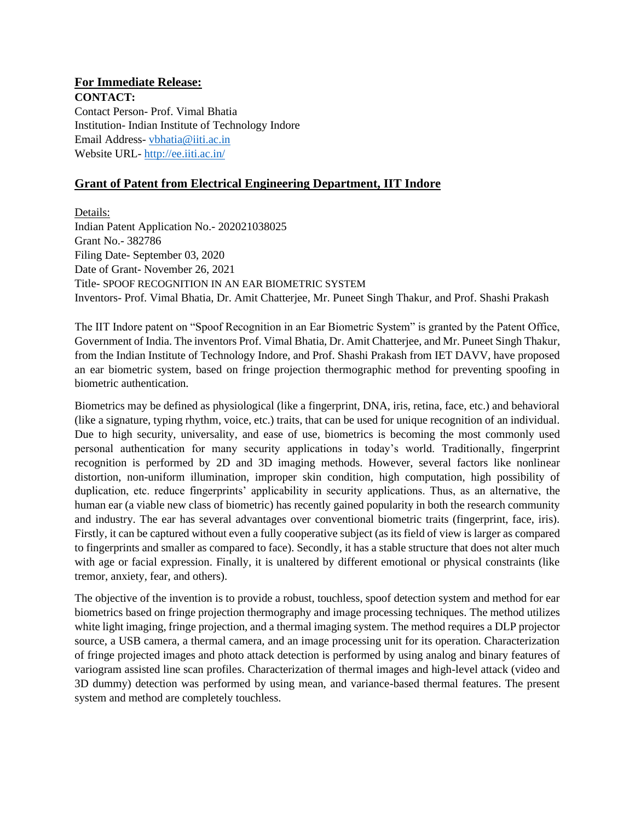## **For Immediate Release:**

**CONTACT:**  Contact Person- Prof. Vimal Bhatia Institution- Indian Institute of Technology Indore Email Address- [vbhatia@iiti.ac.in](mailto:vbhatia@iiti.ac.in) Website URL- <http://ee.iiti.ac.in/>

## **Grant of Patent from Electrical Engineering Department, IIT Indore**

Details:

Indian Patent Application No.- 202021038025 Grant No.- 382786 Filing Date- September 03, 2020 Date of Grant- November 26, 2021 Title- SPOOF RECOGNITION IN AN EAR BIOMETRIC SYSTEM Inventors- Prof. Vimal Bhatia, Dr. Amit Chatterjee, Mr. Puneet Singh Thakur, and Prof. Shashi Prakash

The IIT Indore patent on "Spoof Recognition in an Ear Biometric System" is granted by the Patent Office, Government of India. The inventors Prof. Vimal Bhatia, Dr. Amit Chatterjee, and Mr. Puneet Singh Thakur, from the Indian Institute of Technology Indore, and Prof. Shashi Prakash from IET DAVV, have proposed an ear biometric system, based on fringe projection thermographic method for preventing spoofing in biometric authentication.

Biometrics may be defined as physiological (like a fingerprint, DNA, iris, retina, face, etc.) and behavioral (like a signature, typing rhythm, voice, etc.) traits, that can be used for unique recognition of an individual. Due to high security, universality, and ease of use, biometrics is becoming the most commonly used personal authentication for many security applications in today's world. Traditionally, fingerprint recognition is performed by 2D and 3D imaging methods. However, several factors like nonlinear distortion, non-uniform illumination, improper skin condition, high computation, high possibility of duplication, etc. reduce fingerprints' applicability in security applications. Thus, as an alternative, the human ear (a viable new class of biometric) has recently gained popularity in both the research community and industry. The ear has several advantages over conventional biometric traits (fingerprint, face, iris). Firstly, it can be captured without even a fully cooperative subject (as its field of view is larger as compared to fingerprints and smaller as compared to face). Secondly, it has a stable structure that does not alter much with age or facial expression. Finally, it is unaltered by different emotional or physical constraints (like tremor, anxiety, fear, and others).

The objective of the invention is to provide a robust, touchless, spoof detection system and method for ear biometrics based on fringe projection thermography and image processing techniques. The method utilizes white light imaging, fringe projection, and a thermal imaging system. The method requires a DLP projector source, a USB camera, a thermal camera, and an image processing unit for its operation. Characterization of fringe projected images and photo attack detection is performed by using analog and binary features of variogram assisted line scan profiles. Characterization of thermal images and high-level attack (video and 3D dummy) detection was performed by using mean, and variance-based thermal features. The present system and method are completely touchless.